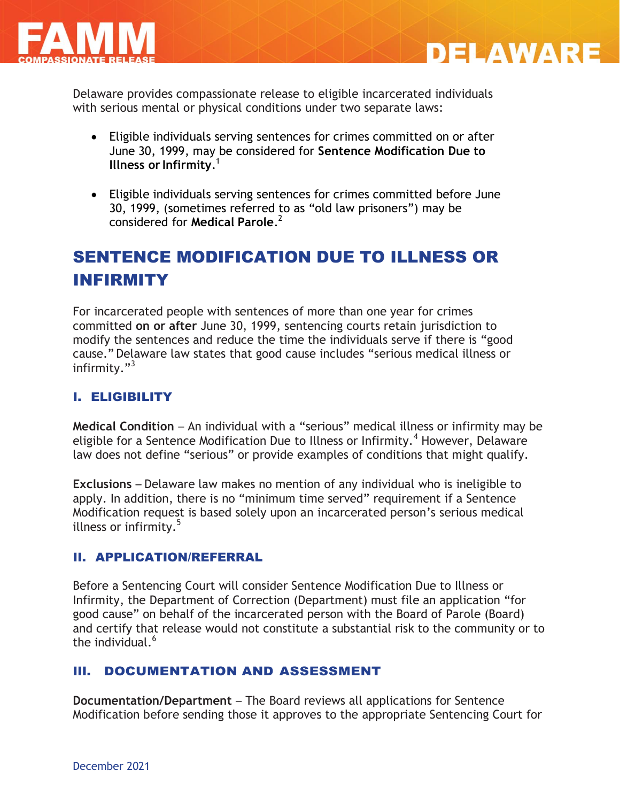



Delaware provides compassionate release to eligible incarcerated individuals with serious mental or physical conditions under two separate laws:

- Eligible individuals serving sentences for crimes committed on or after June 30, 1999, may be considered for **Sentence Modification Due to Illness or Infirmity**. 1
- Eligible individuals serving sentences for crimes committed before June 30, 1999, (sometimes referred to as "old law prisoners") may be considered for **Medical Parole**. 2

# SENTENCE MODIFICATION DUE TO ILLNESS OR INFIRMITY

For incarcerated people with sentences of more than one year for crimes committed **on or after** June 30, 1999, sentencing courts retain jurisdiction to modify the sentences and reduce the time the individuals serve if there is "good cause." Delaware law states that good cause includes "serious medical illness or infirmity. $"^{3}$ 

## I. ELIGIBILITY

**Medical Condition** – An individual with a "serious" medical illness or infirmity may be eligible for a Sentence Modification Due to Illness or Infirmity.<sup>4</sup> However, Delaware law does not define "serious" or provide examples of conditions that might qualify.

**Exclusions** – Delaware law makes no mention of any individual who is ineligible to apply. In addition, there is no "minimum time served" requirement if a Sentence Modification request is based solely upon an incarcerated person's serious medical illness or infirmity. $5$ 

#### II. APPLICATION/REFERRAL

Before a Sentencing Court will consider Sentence Modification Due to Illness or Infirmity, the Department of Correction (Department) must file an application "for good cause" on behalf of the incarcerated person with the Board of Parole (Board) and certify that release would not constitute a substantial risk to the community or to the individual. 6

#### III. DOCUMENTATION AND ASSESSMENT

**Documentation/Department** – The Board reviews all applications for Sentence Modification before sending those it approves to the appropriate Sentencing Court for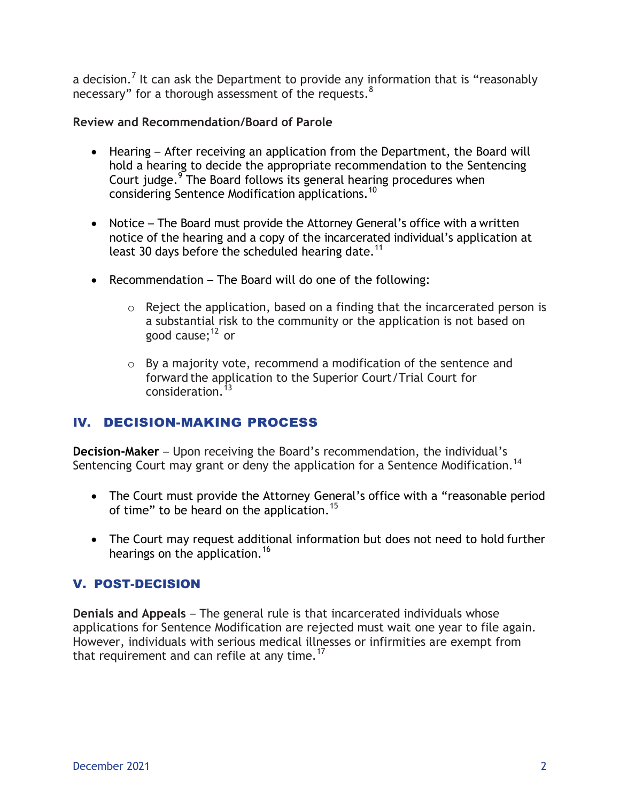a decision.<sup>7</sup> It can ask the Department to provide any information that is "reasonably necessary" for a thorough assessment of the requests.  $8$ 

#### **Review and Recommendation/Board of Parole**

- Hearing After receiving an application from the Department, the Board will hold a hearing to decide the appropriate recommendation to the Sentencing Court judge.<sup>9</sup> The Board follows its general hearing procedures when considering Sentence Modification applications.<sup>10</sup>
- Notice The Board must provide the Attorney General's office with a written notice of the hearing and a copy of the incarcerated individual's application at least 30 days before the scheduled hearing date.<sup>11</sup>
- Recommendation The Board will do one of the following:
	- $\circ$  Reject the application, based on a finding that the incarcerated person is a substantial risk to the community or the application is not based on good cause; $^{12}$  or
	- o By a majority vote, recommend a modification of the sentence and forward the application to the Superior Court/Trial Court for  $\frac{13}{13}$

### IV. DECISION-MAKING PROCESS

**Decision-Maker** – Upon receiving the Board's recommendation, the individual's Sentencing Court may grant or deny the application for a Sentence Modification.<sup>14</sup>

- The Court must provide the Attorney General's office with a "reasonable period of time" to be heard on the application.<sup>15</sup>
- The Court may request additional information but does not need to hold further hearings on the application.<sup>16</sup>

#### V. POST-DECISION

**Denials and Appeals** – The general rule is that incarcerated individuals whose applications for Sentence Modification are rejected must wait one year to file again. However, individuals with serious medical illnesses or infirmities are exempt from that requirement and can refile at any time. $17$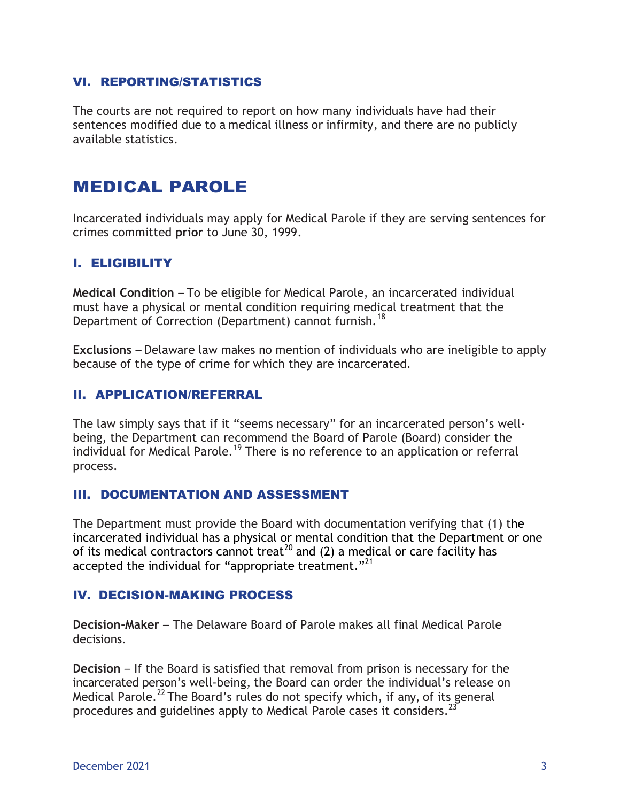#### VI. REPORTING/STATISTICS

The courts are not required to report on how many individuals have had their sentences modified due to a medical illness or infirmity, and there are no publicly available statistics.

## MEDICAL PAROLE

Incarcerated individuals may apply for Medical Parole if they are serving sentences for crimes committed **prior** to June 30, 1999.

#### I. ELIGIBILITY

**Medical Condition** – To be eligible for Medical Parole, an incarcerated individual must have a physical or mental condition requiring medical treatment that the Department of Correction (Department) cannot furnish.<sup>18</sup>

**Exclusions** – Delaware law makes no mention of individuals who are ineligible to apply because of the type of crime for which they are incarcerated.

#### II. APPLICATION/REFERRAL

The law simply says that if it "seems necessary" for an incarcerated person's wellbeing, the Department can recommend the Board of Parole (Board) consider the individual for Medical Parole.<sup>19</sup> There is no reference to an application or referral process.

#### III. DOCUMENTATION AND ASSESSMENT

The Department must provide the Board with documentation verifying that (1) the incarcerated individual has a physical or mental condition that the Department or one of its medical contractors cannot treat<sup>20</sup> and (2) a medical or care facility has accepted the individual for "appropriate treatment."<sup>21</sup>

#### IV. DECISION-MAKING PROCESS

**Decision-Maker** – The Delaware Board of Parole makes all final Medical Parole decisions.

**Decision** – If the Board is satisfied that removal from prison is necessary for the incarcerated person's well-being, the Board can order the individual's release on Medical Parole.<sup>22</sup> The Board's rules do not specify which, if any, of its general procedures and guidelines apply to Medical Parole cases it considers.<sup>23</sup>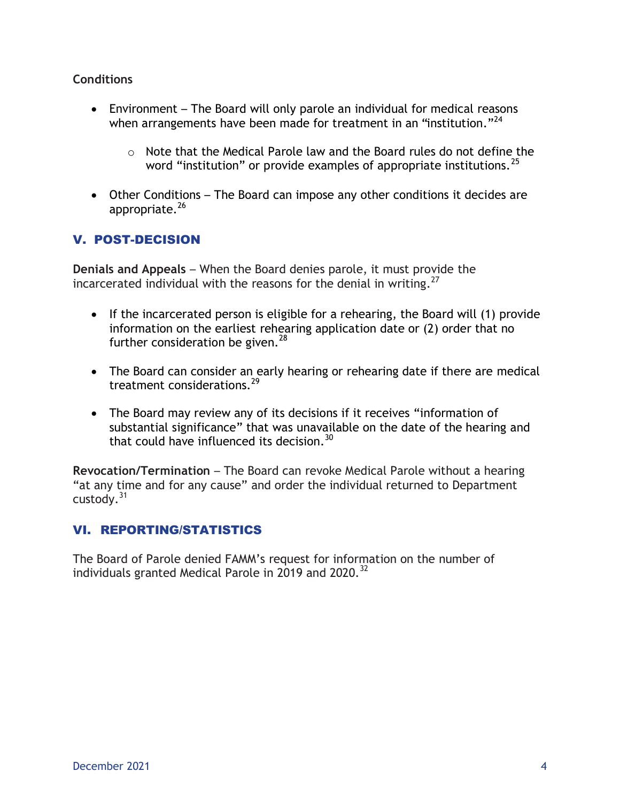#### **Conditions**

- Environment The Board will only parole an individual for medical reasons when arrangements have been made for treatment in an "institution."<sup>24</sup>
	- o Note that the Medical Parole law and the Board rules do not define the word "institution" or provide examples of appropriate institutions.<sup>25</sup>
- Other Conditions The Board can impose any other conditions it decides are appropriate.<sup>26</sup>

## V. POST-DECISION

**Denials and Appeals** – When the Board denies parole, it must provide the incarcerated individual with the reasons for the denial in writing. $^{27}$ 

- If the incarcerated person is eligible for a rehearing, the Board will (1) provide information on the earliest rehearing application date or (2) order that no further consideration be given. $^{28}$
- The Board can consider an early hearing or rehearing date if there are medical treatment considerations.<sup>29</sup>
- The Board may review any of its decisions if it receives "information of substantial significance" that was unavailable on the date of the hearing and that could have influenced its decision.<sup>30</sup>

**Revocation/Termination** – The Board can revoke Medical Parole without a hearing "at any time and for any cause" and order the individual returned to Department custody. $31$ 

### VI. REPORTING/STATISTICS

The Board of Parole denied FAMM's request for information on the number of individuals granted Medical Parole in 2019 and 2020.<sup>32</sup>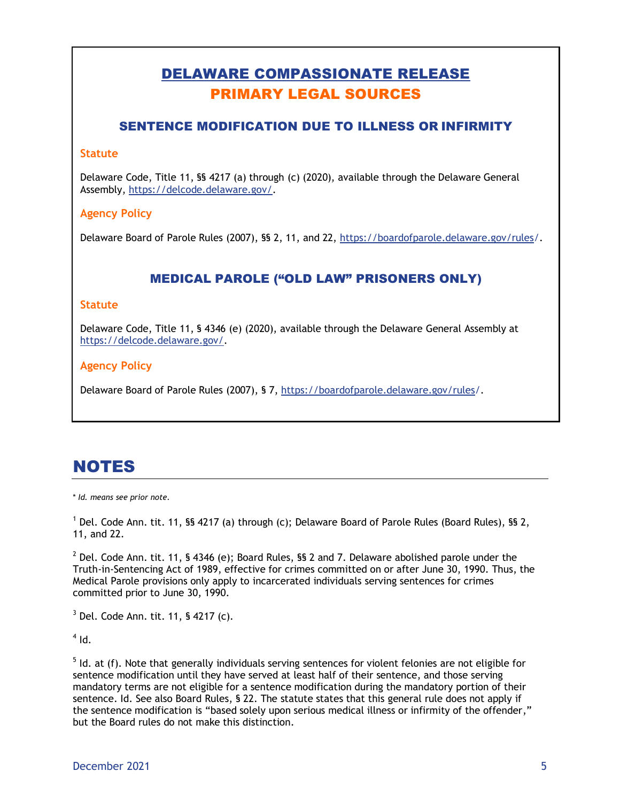## DELAWARE COMPASSIONATE RELEASE PRIMARY LEGAL SOURCES

#### SENTENCE MODIFICATION DUE TO ILLNESS OR INFIRMITY

#### **Statute**

Delaware Code, Title 11, §§ 4217 (a) through (c) (2020), available through the Delaware General Assembly, [https://delcode.delaware.gov/.](https://delcode.delaware.gov/)

#### **Agency Policy**

Delaware Board of Parole Rules (2007), §§ 2, 11, and 22, [https://boardofparole.delaware.gov/rules/](https://boardofparole.delaware.gov/rules).

### MEDICAL PAROLE ("OLD LAW" PRISONERS ONLY)

#### **Statute**

Delaware Code, Title 11, § 4346 (e) (2020), available through the Delaware General Assembly at [https://delcode.delaware.gov/.](https://delcode.delaware.gov/)

#### **Agency Policy**

Delaware Board of Parole Rules (2007), § 7, [https://boardofparole.delaware.gov/rules/](https://boardofparole.delaware.gov/rules).

## NOTES

\* *Id. means see prior note.*

 $1$  Del. Code Ann. tit. 11, §§ 4217 (a) through (c); Delaware Board of Parole Rules (Board Rules), §§ 2, 11, and 22.

 $^2$  Del. Code Ann. tit. 11, § 4346 (e); Board Rules, §§ 2 and 7. Delaware abolished parole under the Truth-in-Sentencing Act of 1989, effective for crimes committed on or after June 30, 1990. Thus, the Medical Parole provisions only apply to incarcerated individuals serving sentences for crimes committed prior to June 30, 1990.

 $3$  Del. Code Ann. tit. 11, § 4217 (c).

 $^4$  Id.

 $<sup>5</sup>$  Id. at (f). Note that generally individuals serving sentences for violent felonies are not eligible for</sup> sentence modification until they have served at least half of their sentence, and those serving mandatory terms are not eligible for a sentence modification during the mandatory portion of their sentence. Id. See also Board Rules, § 22. The statute states that this general rule does not apply if the sentence modification is "based solely upon serious medical illness or infirmity of the offender," but the Board rules do not make this distinction.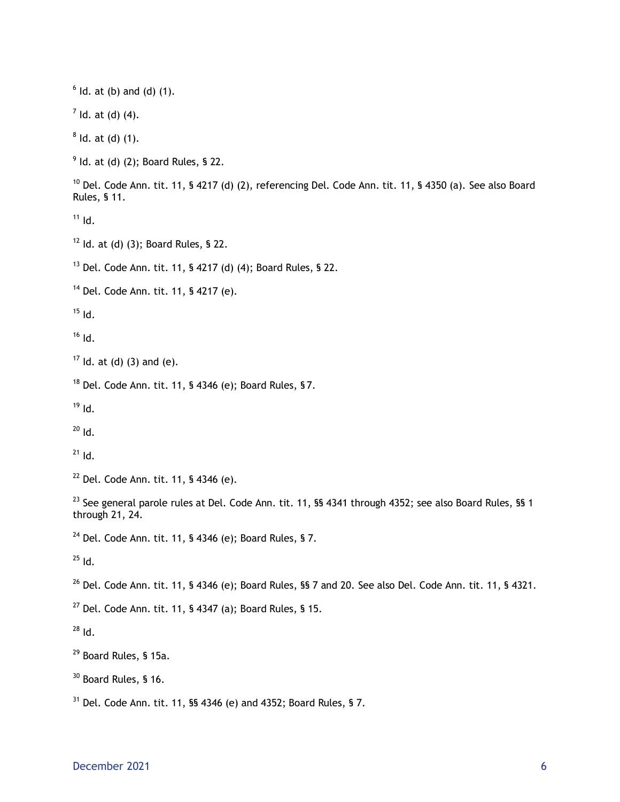$<sup>6</sup>$  ld. at (b) and (d) (1).</sup>  $<sup>7</sup>$  ld. at (d) (4).</sup>  $8$  ld. at (d) (1).  $9$  Id. at (d) (2); Board Rules, § 22. <sup>10</sup> Del. Code Ann. tit. 11, § 4217 (d) (2), referencing Del. Code Ann. tit. 11, § 4350 (a). See also Board Rules, § 11.  $11$  Id.  $12$  Id. at (d) (3); Board Rules, § 22.  $13$  Del. Code Ann. tit. 11, § 4217 (d) (4); Board Rules, § 22. <sup>14</sup> Del. Code Ann. tit. 11, § 4217 (e).  $15$  Id.  $16$  Id.  $17$  Id. at (d) (3) and (e).  $18$  Del. Code Ann. tit. 11, § 4346 (e); Board Rules, § 7.  $19$  Id.  $20$  Id.  $^{21}$  Id.  $22$  Del. Code Ann. tit. 11, § 4346 (e). <sup>23</sup> See general parole rules at Del. Code Ann. tit. 11, §§ 4341 through 4352; see also Board Rules, §§ 1 through 21, 24. <sup>24</sup> Del. Code Ann. tit. 11, § 4346 (e); Board Rules, § 7.  $^{25}$  Id. <sup>26</sup> Del. Code Ann. tit. 11, § 4346 (e); Board Rules, §§ 7 and 20. See also Del. Code Ann. tit. 11, § 4321.  $27$  Del. Code Ann. tit. 11, § 4347 (a); Board Rules, § 15.  $28$  Id. <sup>29</sup> Board Rules, § 15a. <sup>30</sup> Board Rules, § 16.  $31$  Del. Code Ann. tit. 11, §§ 4346 (e) and 4352; Board Rules, § 7.